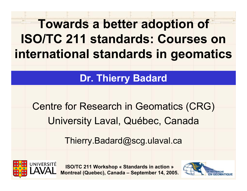# **Towards a better adoption of ISO/TC 211 standards: Courses on international standards in geomatics**

#### **Dr. Thierry Badard**

Centre for Research in Geomatics (CRG) University Laval, Québec, Canada

Thierry.Badard@scg.ulaval.ca



**ISO/TC 211 Workshop « Standards in action » Montreal (Quebec), Canada – September 14, 2005.**

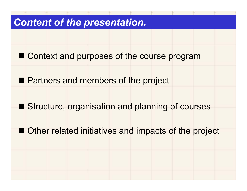#### *Content of the presentation.*

- Context and purposes of the course program
- **Partners and members of the project**
- Structure, organisation and planning of courses
- Other related initiatives and impacts of the project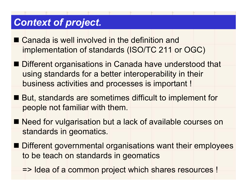### *Context of project.*

- Canada is well involved in the definition and implementation of standards (ISO/TC 211 or OGC)
- Different organisations in Canada have understood that using standards for a better interoperability in their business activities and processes is important !
- But, standards are sometimes difficult to implement for people not familiar with them.
- Need for vulgarisation but a lack of available courses on standards in geomatics.
- **Different governmental organisations want their employees** to be teach on standards in geomatics
	- => Idea of a common project which shares resources !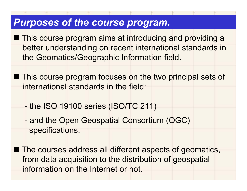#### *Purposes of the course program.*

- This course program aims at introducing and providing a better understanding on recent international standards in the Geomatics/Geographic Information field.
- **This course program focuses on the two principal sets of** international standards in the field:
	- the ISO 19100 series (ISO/TC 211)
	- and the Open Geospatial Consortium (OGC) specifications.
- The courses address all different aspects of geomatics, from data acquisition to the distribution of geospatial information on the Internet or not.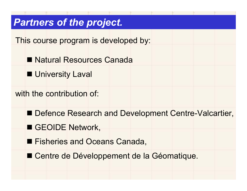### *Partners of the project.*

This course program is developed by:

- Natural Resources Canada
- University Laval

with the contribution of:

- Defence Research and Development Centre-Valcartier,
- GEOIDE Network,
- **Fisheries and Oceans Canada,**
- Centre de Développement de la Géomatique.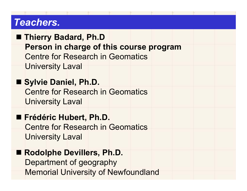#### *Teachers.*

- Thierry Badard, Ph.D **Person in charge of this course program** Centre for Research in GeomaticsUniversity Laval
- Sylvie Daniel, Ph.D. Centre for Research in GeomaticsUniversity Laval
- Frédéric Hubert, Ph.D. Centre for Research in GeomaticsUniversity Laval
- **Rodolphe Devillers, Ph.D.** Department of geography Memorial University of Newfoundland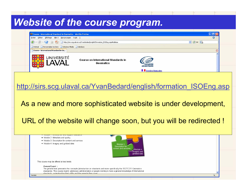#### *Website of the course program.*

| Edition Affichage Aller à Marque-pages Outils ?<br>Fichier             |                                                  | $\bullet$                 |
|------------------------------------------------------------------------|--------------------------------------------------|---------------------------|
|                                                                        |                                                  | $\vee$ $\circ$ ok $\circ$ |
| Hotmail Personnaliser les liens Windows Media Windows                  |                                                  |                           |
| Course-International Standard in Ge                                    |                                                  |                           |
| UNIVERSITÉ<br>Course on International Standards in<br><b>Geomatics</b> | <b>GÉOMATIQUES</b><br><b>U</b> Maraian francoise |                           |

http://sirs.scg.ulaval.ca/YvanBedard/english/formation\_ISOEng.asp

As a new and more sophisticated website is under development,

URL of the website will change soon, but you will be redirected !

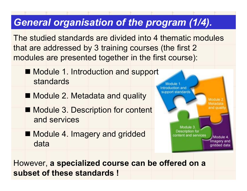## *General organisation of the program (1/4).*

The studied standards are divided into 4 thematic modules that are addressed by 3 training courses (the first 2 modules are presented together in the first course):

- Module 1. Introduction and support standards
- Module 2. Metadata and quality
- Module 3. Description for content and services
- Module 4. Imagery and gridded data



However, **a specialized course can be offered on a subset of these standards !**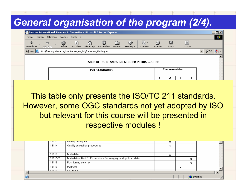| <b>General organisation of the program (2/4).</b>                           |                                    |                   |                                               |               |            |          |          |                       |  |          |  |                 |                        |
|-----------------------------------------------------------------------------|------------------------------------|-------------------|-----------------------------------------------|---------------|------------|----------|----------|-----------------------|--|----------|--|-----------------|------------------------|
|                                                                             |                                    |                   |                                               |               |            |          |          |                       |  |          |  |                 |                        |
| Course- International Standard in Geomatics - Microsoft Internet Explorer   |                                    |                   |                                               |               |            |          |          |                       |  |          |  |                 | $\Box$ $\Box$ $\times$ |
| Fichier                                                                     | Edition Affichage Favoris Outils ? |                   |                                               |               |            |          |          |                       |  |          |  |                 |                        |
| ⇔                                                                           |                                    | A<br>$\downarrow$ | $\circledcirc$                                | $\rightarrow$ | Ø          | R        | 6        | ▩                     |  | E        |  |                 |                        |
| Précédente<br>Suivante                                                      | Arrêter                            |                   | Actualiser Démarrage Rechercher               | Favoris       | Historique | Courrier | Imprimer | <b>Édition</b>        |  | Discuter |  |                 |                        |
| Adresse 8 http://sirs.scg.ulaval.ca/YvanBedard/english/formation_ISOEng.asp |                                    |                   |                                               |               |            |          |          |                       |  |          |  | $\partial^2$ OK |                        |
|                                                                             |                                    |                   |                                               |               |            |          |          |                       |  |          |  |                 |                        |
|                                                                             |                                    |                   | TABLE OF ISO STANDARDS STUDIED IN THIS COURSE |               |            |          |          |                       |  |          |  |                 |                        |
|                                                                             |                                    |                   |                                               |               |            |          |          | <b>Course modules</b> |  |          |  |                 |                        |
| <b>ISO STANDARDS</b>                                                        |                                    |                   |                                               |               |            |          |          |                       |  |          |  |                 |                        |
|                                                                             |                                    |                   |                                               |               |            |          |          |                       |  | 4        |  |                 |                        |
|                                                                             |                                    |                   |                                               |               |            |          |          |                       |  |          |  |                 |                        |

This table only presents the ISO/TC 211 standards. However, some OGC standards not yet adopted by ISO but relevant for this course will be presented in respective modules !

|  | ৰেগাড     | <u>tuuality principies </u>                                  | л. |   |                   |  |
|--|-----------|--------------------------------------------------------------|----|---|-------------------|--|
|  | 19114     | Quality evaluation procedures                                | х  |   |                   |  |
|  |           |                                                              |    |   |                   |  |
|  | 19115     | Metadata                                                     | х  |   |                   |  |
|  | 19115-2   | Metadata - Part 2: Extensions for imagery and gridded data   |    |   | T.                |  |
|  | 19116     | Positioning services                                         |    |   | Tur-<br>л.        |  |
|  | 19117     | Portrayal                                                    |    | х |                   |  |
|  | A O A A O | $\Gamma$ and $\Gamma$ and $\Gamma$ and $\Gamma$ and $\Gamma$ |    |   |                   |  |
|  |           |                                                              |    |   |                   |  |
|  |           |                                                              |    |   | <b>O</b> Internet |  |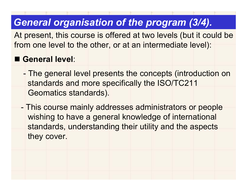## *General organisation of the program (3/4).*

At present, this course is offered at two levels (but it could be from one level to the other, or at an intermediate level):

#### **General level**:

- - The general level presents the concepts (introduction on standards and more specifically the ISO/TC211 Geomatics standards).
- - This course mainly addresses administrators or people wishing to have a general knowledge of international standards, understanding their utility and the aspects they cover.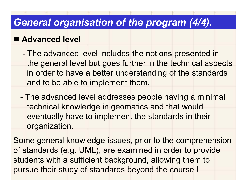### *General organisation of the program (4/4).*

#### **Advanced level**:

- - The advanced level includes the notions presented in the general level but goes further in the technical aspects in order to have a better understanding of the standards and to be able to implement them.
- - The advanced level addresses people having a minimal technical knowledge in geomatics and that would eventually have to implement the standards in their organization.

Some general knowledge issues, prior to the comprehension of standards (e.g. UML), are examined in order to provide students with a sufficient background, allowing them to pursue their study of standards beyond the course !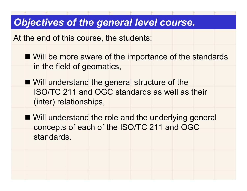#### *Objectives of the general level course.*

At the end of this course, the students:

- Will be more aware of the importance of the standards in the field of geomatics,
- Will understand the general structure of the ISO/TC 211 and OGC standards as well as their (inter) relationships,
- Will understand the role and the underlying general concepts of each of the ISO/TC 211 and OGC standards.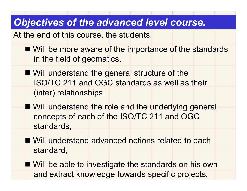#### *Objectives of the advanced level course.*

At the end of this course, the students:

- Will be more aware of the importance of the standards in the field of geomatics,
- Will understand the general structure of the ISO/TC 211 and OGC standards as well as their (inter) relationships,
- Will understand the role and the underlying general concepts of each of the ISO/TC 211 and OGC standards,
- Will understand advanced notions related to each standard,
- Will be able to investigate the standards on his own and extract knowledge towards specific projects.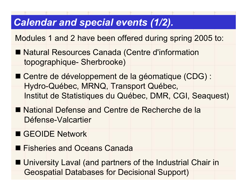#### *Calendar and special events (1/2).*

Modules 1 and 2 have been offered during spring 2005 to:

- Natural Resources Canada (Centre d'information topographique- Sherbrooke)
- Centre de développement de la géomatique (CDG) : Hydro-Québec, MRNQ, Transport Québec, Institut de Statistiques du Québec, DMR, CGI, Seaquest)
- National Defense and Centre de Recherche de la Défense-Valcartier
- GEOIDE Network
- Fisheries and Oceans Canada
- University Laval (and partners of the Industrial Chair in Geospatial Databases for Decisional Support)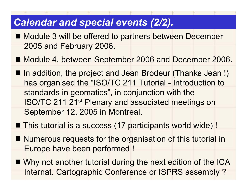#### *Calendar and special events (2/2).*

- Module 3 will be offered to partners between December 2005 and February 2006.
- Module 4, between September 2006 and December 2006.
- In addition, the project and Jean Brodeur (Thanks Jean !) has organised the "ISO/TC 211 Tutorial - Introduction to standards in geomatics", in conjunction with the ISO/TC 211 21st Plenary and associated meetings on September 12, 2005 in Montreal.
- This tutorial is a success (17 participants world wide) !
- Numerous requests for the organisation of this tutorial in Europe have been performed !
- Why not another tutorial during the next edition of the ICA Internat. Cartographic Conference or ISPRS assembly ?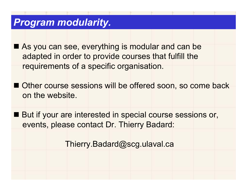#### *Program modularity.*

■ As you can see, everything is modular and can be adapted in order to provide courses that fulfill the requirements of a specific organisation.

■ Other course sessions will be offered soon, so come back on the website.

■ But if your are interested in special course sessions or, events, please contact Dr. Thierry Badard:

Thierry.Badard@scg.ulaval.ca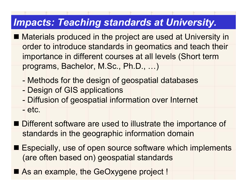#### *Impacts: Teaching standards at University.*

- Materials produced in the project are used at University in order to introduce standards in geomatics and teach their importance in different courses at all levels (Short term programs, Bachelor, M.Sc., Ph.D., …)
	- -Methods for the design of geospatial databases
	- -Design of GIS applications
	- -Diffusion of geospatial information over Internet
	- etc.
- **Different software are used to illustrate the importance of** standards in the geographic information domain
- Especially, use of open source software which implements (are often based on) geospatial standards
- As an example, the GeOxygene project !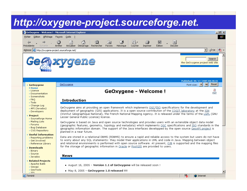# *http://oxygene-project.sourceforge.net.*

| Affichage<br>Fichier<br>Edition                                                    | Favoris<br>Outils ?                                                                                                                                                                                                                                                   |  |  |  |  |
|------------------------------------------------------------------------------------|-----------------------------------------------------------------------------------------------------------------------------------------------------------------------------------------------------------------------------------------------------------------------|--|--|--|--|
| ⇚                                                                                  | ത.<br>圓<br>$\mathbb{Z}^2$<br>Q<br>$\rightarrow$<br>W<br>ัธโ                                                                                                                                                                                                           |  |  |  |  |
| Précédente<br>Suivante<br>Adresse <b>6</b> http://oxygene-project.sourceforge.net/ | Rechercher<br>Édition<br>Arrêter<br>Actualiser<br>Démarrage<br>Favoris<br>Historique<br>Courrier<br>Imprimer<br>Discuter<br>$\hat{\mathcal{C}}$ ok $\parallel$<br>$\hat{\mathbf{u}}$<br>⊣                                                                             |  |  |  |  |
|                                                                                    | Search                                                                                                                                                                                                                                                                |  |  |  |  |
|                                                                                    | xyqene<br>the GeOxygene project web site                                                                                                                                                                                                                              |  |  |  |  |
|                                                                                    |                                                                                                                                                                                                                                                                       |  |  |  |  |
|                                                                                    | Published: 08/17/2005 00:30:41                                                                                                                                                                                                                                        |  |  |  |  |
| ▶ GeOxygene<br>. Home                                                              | Reset<br>$+a$<br>GeOxygene<br>Font size: -al                                                                                                                                                                                                                          |  |  |  |  |
| la License<br><b>¤ Documentation</b>                                               | 시<br>GeOxygene - Welcome!<br><b>PDF</b>                                                                                                                                                                                                                               |  |  |  |  |
| a Screenshots<br>» FAQ<br>» Todo                                                   | <b>Introduction</b>                                                                                                                                                                                                                                                   |  |  |  |  |
| » Change Log                                                                       | GeOxygene aims at providing an open framework which implements OGC/ISO specifications for the development and                                                                                                                                                         |  |  |  |  |
| » API (Javadoc)<br>· Developers                                                    | deployment of geographic (GIS) applications. It is a open source contribution of the COGIT laboratory at the IGN                                                                                                                                                      |  |  |  |  |
| ▶ Project<br>» Sourceforge Home                                                    | (Institut Géographique National), the French National Mapping Agency. It is released under the terms of the LGPL (GNU<br>Lesser General Public License) license.                                                                                                      |  |  |  |  |
| <b>a Mailing Lists</b><br>» Forums                                                 | GeOxygene is based on Java and open source technologies and provides users with an extensible object data model                                                                                                                                                       |  |  |  |  |
| <b>Bug Database</b><br><b>¤ CVS Repository</b>                                     | (geographic features, geometry, topology and metadata) which implements OGC specifications and ISO standards in the<br>geographic information domain. The support of the Java interfaces developped by the open source GeoAPI project is<br>planned in a near future. |  |  |  |  |
| $\blacktriangleright$ Useful Information<br>» Reporting problems                   | Data are stored in a relational DBMS (RDBMS) to ensure a rapid and reliable access to the system but users do not have                                                                                                                                                |  |  |  |  |
| <b>a Get Involved</b><br><b>B</b> Reference Library                                | to worry about any SQL statements: they model their applications in UML and code in Java. Mapping between object<br>and relational environments is performed with open source software. At present, OJB is supported and the mapping files                            |  |  |  |  |
| ▶ Downloads<br><b>Binary</b>                                                       | for the storage of geographic information in Oracle or PostGIS are provided to users.                                                                                                                                                                                 |  |  |  |  |
| <b>¤ Source</b><br>a Javadoc                                                       | <b>News</b>                                                                                                                                                                                                                                                           |  |  |  |  |
| ▶ Related Projects                                                                 |                                                                                                                                                                                                                                                                       |  |  |  |  |
| · Apache Batik                                                                     | . August 16, 2005 - Version 1.1 of GeOxygene will be released soon !                                                                                                                                                                                                  |  |  |  |  |
| <b>a</b> Geoapi                                                                    |                                                                                                                                                                                                                                                                       |  |  |  |  |
| <b>a</b> GeoTools<br>$n$ TTS.                                                      | · May 8, 2005 - GeOxygene 1.0 released !!!                                                                                                                                                                                                                            |  |  |  |  |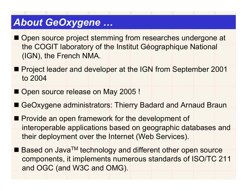## *About GeOxygene …*

- Open source project stemming from researches undergone at the COGIT laboratory of the Institut Géographique National (IGN), the French NMA.
- **Project leader and developer at the IGN from September 2001** to 2004
- Open source release on May 2005 !
- GeOxygene administrators: Thierry Badard and Arnaud Braun
- **Provide an open framework for the development of** interoperable applications based on geographic databases and their deployment over the Internet (Web Services).
- Based on Java<sup>™</sup> technology and different other open source components, it implements numerous standards of ISO/TC 211 and OGC (and W3C and OMG).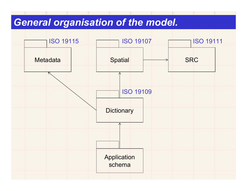## *General organisation of the model.*

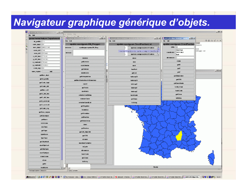## *Navigateur graphique générique d'objets.*